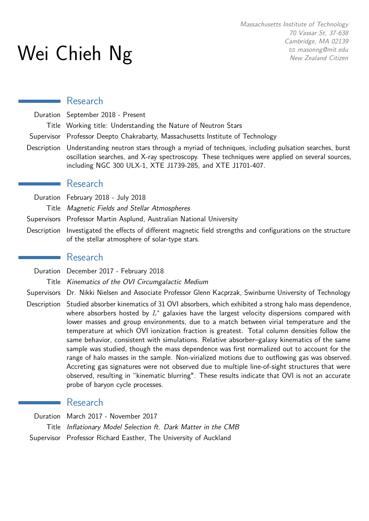# Wei Chieh Ng

#### Research

Duration September 2018 - Present

Title Working title: Understanding the Nature of Neutron Stars

- Supervisor Professor Deepto Chakrabarty, Massachusetts Institute of Technology
- Description Understanding neutron stars through a myriad of techniques, including pulsation searches, burst oscillation searches, and X-ray spectroscopy. These techniques were applied on several sources, including NGC 300 ULX-1, XTE J1739-285, and XTE J1701-407.

#### Research

- Duration February 2018 July 2018
	- Title Magnetic Fields and Stellar Atmospheres
- Supervisors Professor Martin Asplund, Australian National University
- Description Investigated the effects of different magnetic field strengths and configurations on the structure of the stellar atmosphere of solar-type stars.

#### Research

- Duration December 2017 February 2018
	- Title Kinematics of the OVI Circumgalactic Medium
- Supervisors Dr. Nikki Nielsen and Associate Professor Glenn Kacprzak, Swinburne University of Technology
- Description Studied absorber kinematics of 31 OVI absorbers, which exhibited a strong halo mass dependence, where absorbers hosted by *L* <sup>∗</sup> galaxies have the largest velocity dispersions compared with lower masses and group environments, due to a match between virial temperature and the temperature at which OVI ionization fraction is greatest. Total column densities follow the same behavior, consistent with simulations. Relative absorber–galaxy kinematics of the same sample was studied, though the mass dependence was first normalized out to account for the range of halo masses in the sample. Non-virialized motions due to outflowing gas was observed. Accreting gas signatures were not observed due to multiple line-of-sight structures that were observed, resulting in "kinematic blurring". These results indicate that OVI is not an accurate probe of baryon cycle processes.

## ■ Research

Duration March 2017 - November 2017 Title Inflationary Model Selection ft. Dark Matter in the CMB Supervisor Professor Richard Easther, The University of Auckland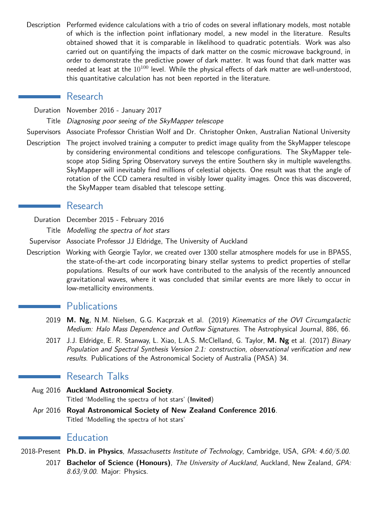Description Performed evidence calculations with a trio of codes on several inflationary models, most notable of which is the inflection point inflationary model, a new model in the literature. Results obtained showed that it is comparable in likelihood to quadratic potentials. Work was also carried out on quantifying the impacts of dark matter on the cosmic microwave background, in order to demonstrate the predictive power of dark matter. It was found that dark matter was needed at least at the  $10^{100}$  level. While the physical effects of dark matter are well-understood, this quantitative calculation has not been reported in the literature.

## Research

Duration November 2016 - January 2017

Title Diagnosing poor seeing of the SkyMapper telescope

Supervisors Associate Professor Christian Wolf and Dr. Christopher Onken, Australian National University

Description The project involved training a computer to predict image quality from the SkyMapper telescope by considering environmental conditions and telescope configurations. The SkyMapper telescope atop Siding Spring Observatory surveys the entire Southern sky in multiple wavelengths. SkyMapper will inevitably find millions of celestial objects. One result was that the angle of rotation of the CCD camera resulted in visibly lower quality images. Once this was discovered, the SkyMapper team disabled that telescope setting.

## Research

Duration December 2015 - February 2016

Title Modelling the spectra of hot stars

Supervisor Associate Professor JJ Eldridge, The University of Auckland

Description Working with Georgie Taylor, we created over 1300 stellar atmosphere models for use in BPASS, the state-of-the-art code incorporating binary stellar systems to predict properties of stellar populations. Results of our work have contributed to the analysis of the recently announced gravitational waves, where it was concluded that similar events are more likely to occur in low-metallicity environments.

## **Publications**

- 2019 **M. Ng**, N.M. Nielsen, G.G. Kacprzak et al. (2019) Kinematics of the OVI Circumgalactic Medium: Halo Mass Dependence and Outflow Signatures. The Astrophysical Journal, 886, 66.
- 2017 J.J. Eldridge, E. R. Stanway, L. Xiao, L.A.S. McClelland, G. Taylor, **M. Ng** et al. (2017) Binary Population and Spectral Synthesis Version 2.1: construction, observational verification and new results. Publications of the Astronomical Society of Australia (PASA) 34.

## Research Talks

- Aug 2016 **Auckland Astronomical Society**. Titled 'Modelling the spectra of hot stars' (**Invited**)
- Apr 2016 **Royal Astronomical Society of New Zealand Conference 2016**. Titled 'Modelling the spectra of hot stars'

## **Education**

2018-Present **Ph.D. in Physics**, Massachusetts Institute of Technology, Cambridge, USA, GPA: 4.60/5.00.

2017 **Bachelor of Science (Honours)**, The University of Auckland, Auckland, New Zealand, GPA: 8.63/9.00. Major: Physics.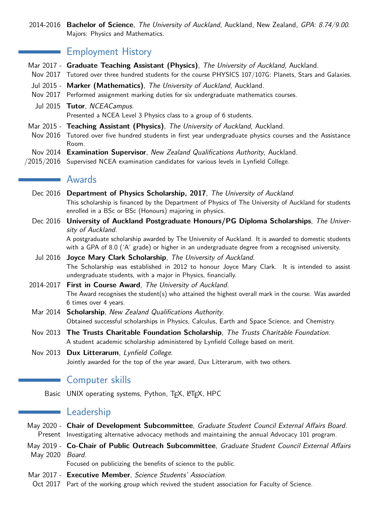2014-2016 **Bachelor of Science**, The University of Auckland, Auckland, New Zealand, GPA: 8.74/9.00. Majors: Physics and Mathematics.

## **Employment History**

- Mar 2017 **Graduate Teaching Assistant (Physics)**, The University of Auckland, Auckland.
- Nov 2017 Tutored over three hundred students for the course PHYSICS 107/107G: Planets, Stars and Galaxies.
- Jul 2015 **Marker (Mathematics)**, The University of Auckland, Auckland.
- Nov 2017 Performed assignment marking duties for six undergraduate mathematics courses.
- Jul 2015 **Tutor**, NCEACampus. Presented a NCEA Level 3 Physics class to a group of 6 students.
- Mar 2015 **Teaching Assistant (Physics)**, The University of Auckland, Auckland.
- Nov 2016 Tutored over five hundred students in first year undergraduate physics courses and the Assistance Room.
- Nov 2014 **Examination Supervisor**, New Zealand Qualifications Authority, Auckland.
- $/2015/2016$  Supervised NCEA examination candidates for various levels in Lynfield College.

#### Awards

- Dec 2016 **Department of Physics Scholarship, 2017**, The University of Auckland. This scholarship is financed by the Department of Physics of The University of Auckland for students enrolled in a BSc or BSc (Honours) majoring in physics.
- Dec 2016 **University of Auckland Postgraduate Honours/PG Diploma Scholarships**, The University of Auckland. A postgraduate scholarship awarded by The University of Auckland. It is awarded to domestic students

with a GPA of 8.0 ('A' grade) or higher in an undergraduate degree from a recognised university.

- Jul 2016 **Joyce Mary Clark Scholarship**, The University of Auckland. The Scholarship was established in 2012 to honour Joyce Mary Clark. It is intended to assist undergraduate students, with a major in Physics, financially.
- 2014-2017 **First in Course Award**, The University of Auckland. The Award recognises the student(s) who attained the highest overall mark in the course. Was awarded 6 times over 4 years.
- Mar 2014 **Scholarship**, New Zealand Qualifications Authority. Obtained successful scholarships in Physics, Calculus, Earth and Space Science, and Chemistry.
- Nov 2013 **The Trusts Charitable Foundation Scholarship**, The Trusts Charitable Foundation. A student academic scholarship administered by Lynfield College based on merit.
- Nov 2013 **Dux Litterarum**, Lynfield College. Jointly awarded for the top of the year award, Dux Litterarum, with two others.

## Computer skills

Basic UNIX operating systems, Python, TFX, LATEX, HPC

## **Leadership**

- May 2020 **Chair of Development Subcommittee**, Graduate Student Council External Affairs Board. Present Investigating alternative advocacy methods and maintaining the annual Advocacy 101 program.
- May 2019 **Co-Chair of Public Outreach Subcommittee**, Graduate Student Council External Affairs May 2020 Board.

Focused on publicizing the benefits of science to the public.

- Mar 2017 **Executive Member**, Science Students' Association.
- Oct 2017 Part of the working group which revived the student association for Faculty of Science.